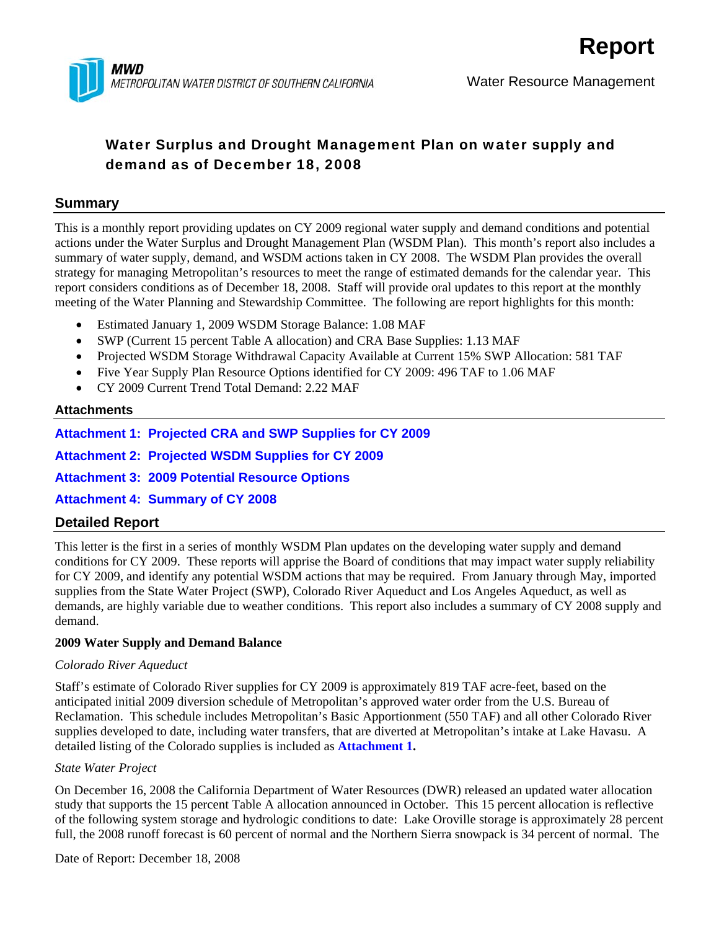

## Water Surplus and Drought Management Plan on water supply and demand as of December 18, 2008

### **Summary**

This is a monthly report providing updates on CY 2009 regional water supply and demand conditions and potential actions under the Water Surplus and Drought Management Plan (WSDM Plan). This month's report also includes a summary of water supply, demand, and WSDM actions taken in CY 2008. The WSDM Plan provides the overall strategy for managing Metropolitan's resources to meet the range of estimated demands for the calendar year. This report considers conditions as of December 18, 2008. Staff will provide oral updates to this report at the monthly meeting of the Water Planning and Stewardship Committee. The following are report highlights for this month:

- Estimated January 1, 2009 WSDM Storage Balance: 1.08 MAF
- SWP (Current 15 percent Table A allocation) and CRA Base Supplies: 1.13 MAF
- Projected WSDM Storage Withdrawal Capacity Available at Current 15% SWP Allocation: 581 TAF
- Five Year Supply Plan Resource Options identified for CY 2009: 496 TAF to 1.06 MAF
- CY 2009 Current Trend Total Demand: 2.22 MAF

#### **Attachments**

**Attachment 1: Projected CRA and SWP Supplies for CY 2009** 

**Attachment 2: Projected WSDM Supplies for CY 2009** 

**Attachment 3: 2009 Potential Resource Options** 

**Attachment 4: Summary of CY 2008** 

## **Detailed Report**

This letter is the first in a series of monthly WSDM Plan updates on the developing water supply and demand conditions for CY 2009. These reports will apprise the Board of conditions that may impact water supply reliability for CY 2009, and identify any potential WSDM actions that may be required. From January through May, imported supplies from the State Water Project (SWP), Colorado River Aqueduct and Los Angeles Aqueduct, as well as demands, are highly variable due to weather conditions. This report also includes a summary of CY 2008 supply and demand.

#### **2009 Water Supply and Demand Balance**

#### *Colorado River Aqueduct*

Staff's estimate of Colorado River supplies for CY 2009 is approximately 819 TAF acre-feet, based on the anticipated initial 2009 diversion schedule of Metropolitan's approved water order from the U.S. Bureau of Reclamation. This schedule includes Metropolitan's Basic Apportionment (550 TAF) and all other Colorado River supplies developed to date, including water transfers, that are diverted at Metropolitan's intake at Lake Havasu. A detailed listing of the Colorado supplies is included as **Attachment 1.**

#### *State Water Project*

On December 16, 2008 the California Department of Water Resources (DWR) released an updated water allocation study that supports the 15 percent Table A allocation announced in October. This 15 percent allocation is reflective of the following system storage and hydrologic conditions to date: Lake Oroville storage is approximately 28 percent full, the 2008 runoff forecast is 60 percent of normal and the Northern Sierra snowpack is 34 percent of normal. The

Date of Report: December 18, 2008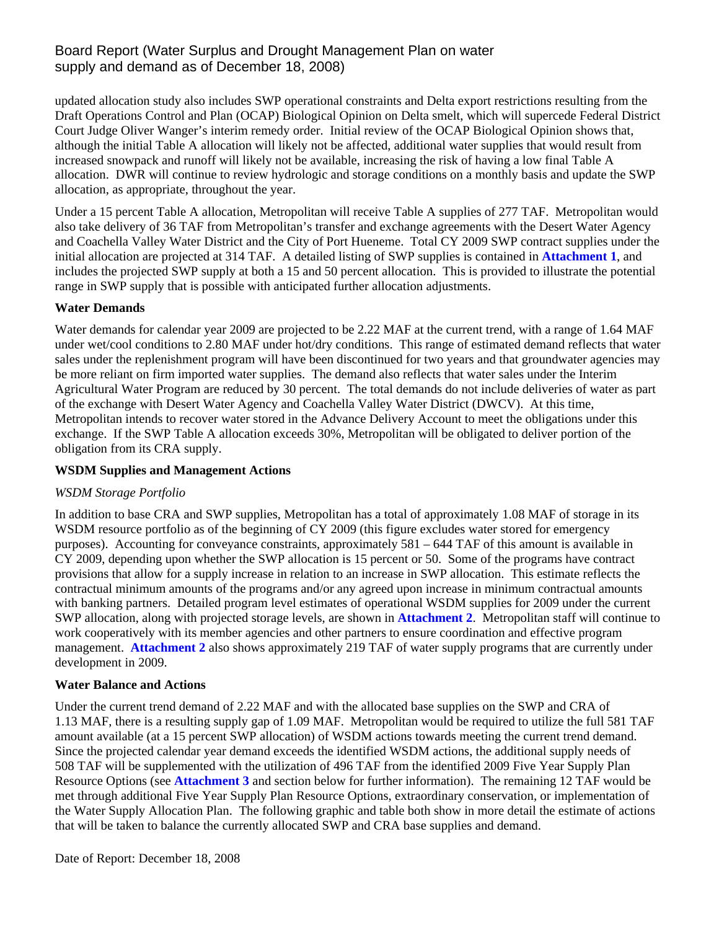## Board Report (Water Surplus and Drought Management Plan on water supply and demand as of December 18, 2008)

updated allocation study also includes SWP operational constraints and Delta export restrictions resulting from the Draft Operations Control and Plan (OCAP) Biological Opinion on Delta smelt, which will supercede Federal District Court Judge Oliver Wanger's interim remedy order. Initial review of the OCAP Biological Opinion shows that, although the initial Table A allocation will likely not be affected, additional water supplies that would result from increased snowpack and runoff will likely not be available, increasing the risk of having a low final Table A allocation. DWR will continue to review hydrologic and storage conditions on a monthly basis and update the SWP allocation, as appropriate, throughout the year.

Under a 15 percent Table A allocation, Metropolitan will receive Table A supplies of 277 TAF. Metropolitan would also take delivery of 36 TAF from Metropolitan's transfer and exchange agreements with the Desert Water Agency and Coachella Valley Water District and the City of Port Hueneme. Total CY 2009 SWP contract supplies under the initial allocation are projected at 314 TAF. A detailed listing of SWP supplies is contained in **Attachment 1**, and includes the projected SWP supply at both a 15 and 50 percent allocation. This is provided to illustrate the potential range in SWP supply that is possible with anticipated further allocation adjustments.

#### **Water Demands**

Water demands for calendar year 2009 are projected to be 2.22 MAF at the current trend, with a range of 1.64 MAF under wet/cool conditions to 2.80 MAF under hot/dry conditions. This range of estimated demand reflects that water sales under the replenishment program will have been discontinued for two years and that groundwater agencies may be more reliant on firm imported water supplies. The demand also reflects that water sales under the Interim Agricultural Water Program are reduced by 30 percent. The total demands do not include deliveries of water as part of the exchange with Desert Water Agency and Coachella Valley Water District (DWCV). At this time, Metropolitan intends to recover water stored in the Advance Delivery Account to meet the obligations under this exchange. If the SWP Table A allocation exceeds 30%, Metropolitan will be obligated to deliver portion of the obligation from its CRA supply.

#### **WSDM Supplies and Management Actions**

#### *WSDM Storage Portfolio*

In addition to base CRA and SWP supplies, Metropolitan has a total of approximately 1.08 MAF of storage in its WSDM resource portfolio as of the beginning of CY 2009 (this figure excludes water stored for emergency purposes). Accounting for conveyance constraints, approximately 581 – 644 TAF of this amount is available in CY 2009, depending upon whether the SWP allocation is 15 percent or 50. Some of the programs have contract provisions that allow for a supply increase in relation to an increase in SWP allocation. This estimate reflects the contractual minimum amounts of the programs and/or any agreed upon increase in minimum contractual amounts with banking partners. Detailed program level estimates of operational WSDM supplies for 2009 under the current SWP allocation, along with projected storage levels, are shown in **Attachment 2**. Metropolitan staff will continue to work cooperatively with its member agencies and other partners to ensure coordination and effective program management. **Attachment 2** also shows approximately 219 TAF of water supply programs that are currently under development in 2009.

#### **Water Balance and Actions**

Under the current trend demand of 2.22 MAF and with the allocated base supplies on the SWP and CRA of 1.13 MAF, there is a resulting supply gap of 1.09 MAF. Metropolitan would be required to utilize the full 581 TAF amount available (at a 15 percent SWP allocation) of WSDM actions towards meeting the current trend demand. Since the projected calendar year demand exceeds the identified WSDM actions, the additional supply needs of 508 TAF will be supplemented with the utilization of 496 TAF from the identified 2009 Five Year Supply Plan Resource Options (see **Attachment 3** and section below for further information). The remaining 12 TAF would be met through additional Five Year Supply Plan Resource Options, extraordinary conservation, or implementation of the Water Supply Allocation Plan. The following graphic and table both show in more detail the estimate of actions that will be taken to balance the currently allocated SWP and CRA base supplies and demand.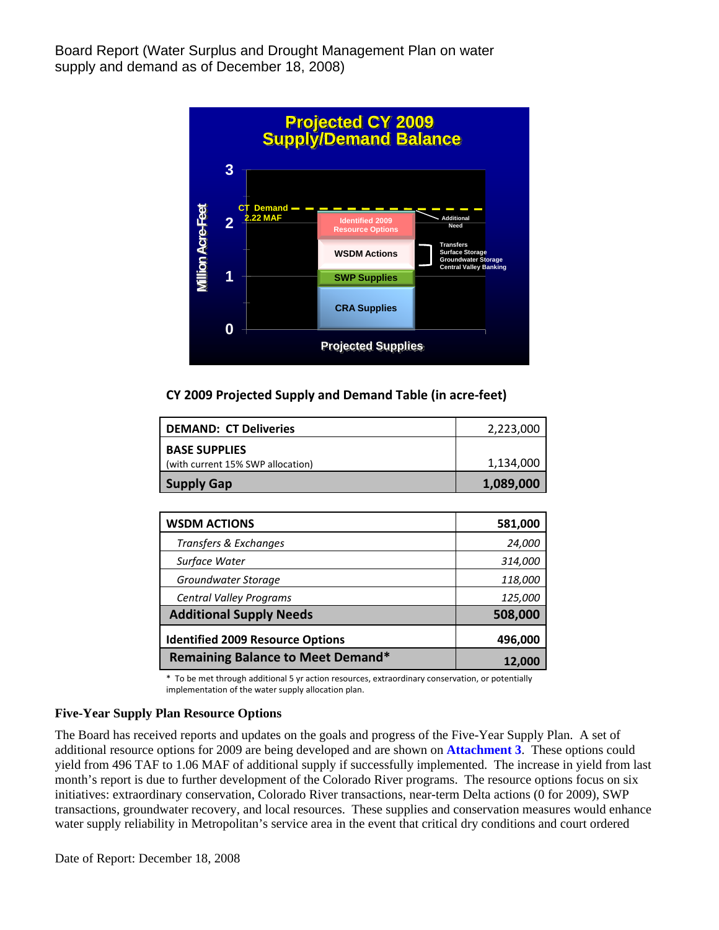Board Report (Water Surplus and Drought Management Plan on water supply and demand as of December 18, 2008)



#### **CY 2009 Projected Supply and Demand Table (in acre‐feet)**

| <b>DEMAND: CT Deliveries</b>      | 2,223,000 |
|-----------------------------------|-----------|
| <b>BASE SUPPLIES</b>              |           |
| (with current 15% SWP allocation) | 1,134,000 |
| <b>Supply Gap</b>                 | 1,089,000 |

| <b>WSDM ACTIONS</b>                      | 581,000 |
|------------------------------------------|---------|
| Transfers & Exchanges                    | 24,000  |
| Surface Water                            | 314,000 |
| Groundwater Storage                      | 118,000 |
| <b>Central Valley Programs</b>           | 125,000 |
| <b>Additional Supply Needs</b>           | 508,000 |
| <b>Identified 2009 Resource Options</b>  | 496,000 |
| <b>Remaining Balance to Meet Demand*</b> | 12.00   |

\* To be met through additional 5 yr action resources, extraordinary conservation, or potentially implementation of the water supply allocation plan.

#### **Five-Year Supply Plan Resource Options**

The Board has received reports and updates on the goals and progress of the Five-Year Supply Plan. A set of additional resource options for 2009 are being developed and are shown on **Attachment 3**. These options could yield from 496 TAF to 1.06 MAF of additional supply if successfully implemented. The increase in yield from last month's report is due to further development of the Colorado River programs. The resource options focus on six initiatives: extraordinary conservation, Colorado River transactions, near-term Delta actions (0 for 2009), SWP transactions, groundwater recovery, and local resources. These supplies and conservation measures would enhance water supply reliability in Metropolitan's service area in the event that critical dry conditions and court ordered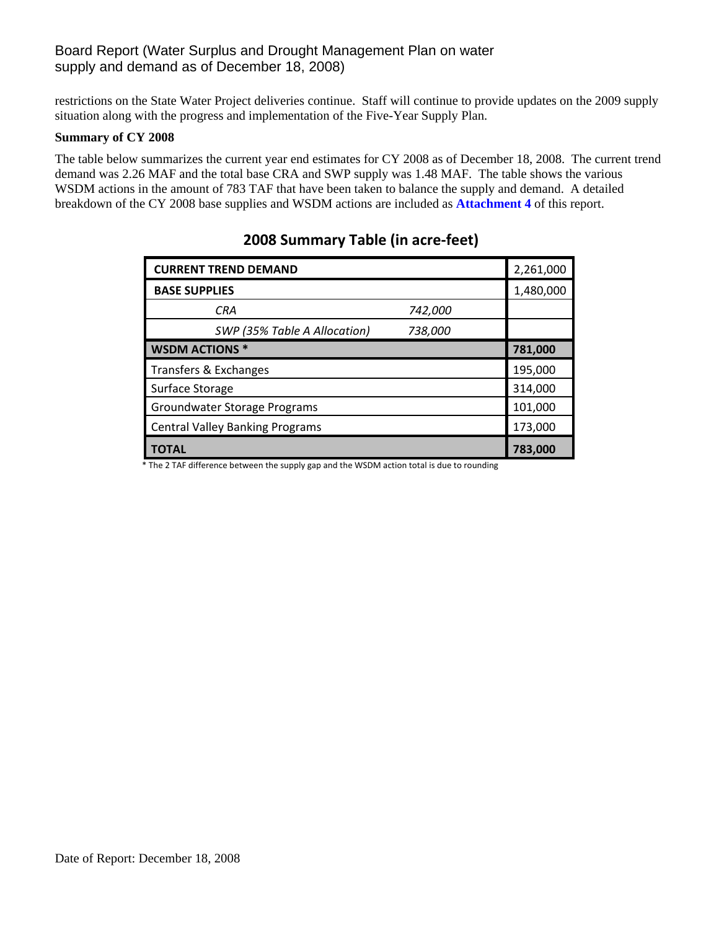## Board Report (Water Surplus and Drought Management Plan on water supply and demand as of December 18, 2008)

restrictions on the State Water Project deliveries continue. Staff will continue to provide updates on the 2009 supply situation along with the progress and implementation of the Five-Year Supply Plan.

#### **Summary of CY 2008**

The table below summarizes the current year end estimates for CY 2008 as of December 18, 2008. The current trend demand was 2.26 MAF and the total base CRA and SWP supply was 1.48 MAF. The table shows the various WSDM actions in the amount of 783 TAF that have been taken to balance the supply and demand. A detailed breakdown of the CY 2008 base supplies and WSDM actions are included as **Attachment 4** of this report.

| <b>CURRENT TREND DEMAND</b>                                                                                | 2,261,000 |
|------------------------------------------------------------------------------------------------------------|-----------|
| <b>BASE SUPPLIES</b>                                                                                       | 1,480,000 |
| <b>CRA</b><br>742,000                                                                                      |           |
| SWP (35% Table A Allocation)<br>738,000                                                                    |           |
| <b>WSDM ACTIONS *</b>                                                                                      | 781,000   |
| Transfers & Exchanges                                                                                      | 195,000   |
| Surface Storage                                                                                            | 314,000   |
| Groundwater Storage Programs                                                                               | 101,000   |
| <b>Central Valley Banking Programs</b>                                                                     | 173,000   |
| <b>TOTAL</b><br>The 2 TAF difference between the sunnly gan and the WSDM action total is due to rounding * | 783,000   |

## **2008 Summary Table (in acre‐feet)**

The 2 TAF difference between the supply gap and the WSDM action total is due to rounding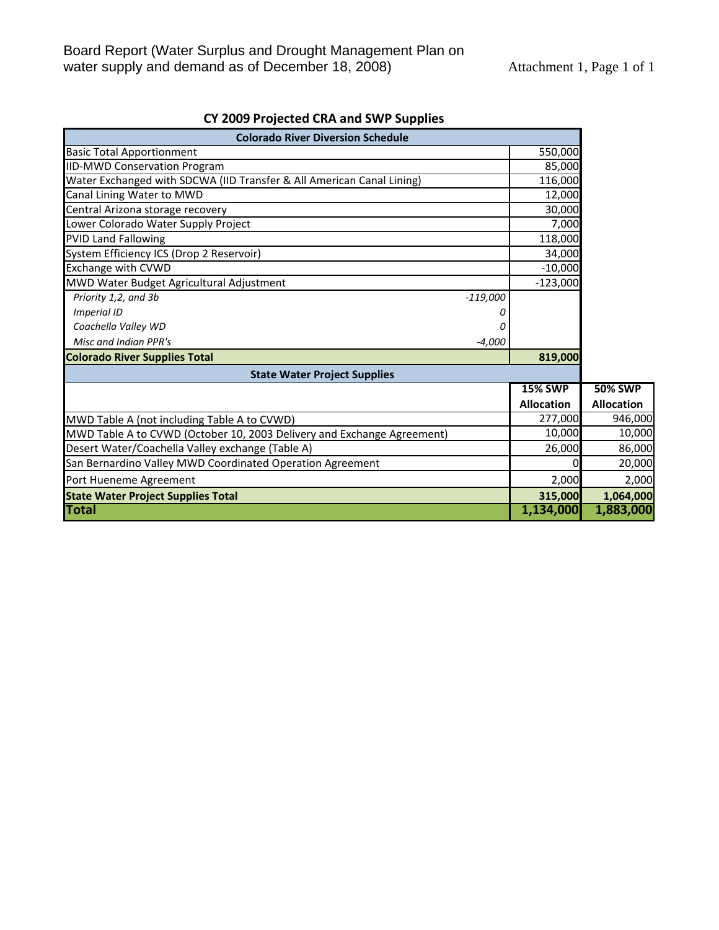| <b>Colorado River Diversion Schedule</b>                               |                   |                   |
|------------------------------------------------------------------------|-------------------|-------------------|
| <b>Basic Total Apportionment</b>                                       | 550,000           |                   |
| <b>IID-MWD Conservation Program</b>                                    | 85,000            |                   |
| Water Exchanged with SDCWA (IID Transfer & All American Canal Lining)  | 116,000           |                   |
| Canal Lining Water to MWD                                              | 12,000            |                   |
| Central Arizona storage recovery                                       | 30,000            |                   |
| Lower Colorado Water Supply Project                                    | 7,000             |                   |
| <b>PVID Land Fallowing</b>                                             | 118,000           |                   |
| System Efficiency ICS (Drop 2 Reservoir)                               | 34,000            |                   |
| Exchange with CVWD                                                     | $-10,000$         |                   |
| MWD Water Budget Agricultural Adjustment                               | $-123,000$        |                   |
| Priority 1,2, and 3b<br>$-119,000$                                     |                   |                   |
| <b>Imperial ID</b>                                                     |                   |                   |
| Coachella Valley WD                                                    |                   |                   |
| Misc and Indian PPR's<br>$-4,000$                                      |                   |                   |
| <b>Colorado River Supplies Total</b>                                   | 819,000           |                   |
| <b>State Water Project Supplies</b>                                    |                   |                   |
|                                                                        | <b>15% SWP</b>    | <b>50% SWP</b>    |
|                                                                        | <b>Allocation</b> | <b>Allocation</b> |
| MWD Table A (not including Table A to CVWD)                            | 277,000           | 946,000           |
| MWD Table A to CVWD (October 10, 2003 Delivery and Exchange Agreement) | 10,000            | 10,000            |
| Desert Water/Coachella Valley exchange (Table A)                       | 26,000            | 86,000            |
| San Bernardino Valley MWD Coordinated Operation Agreement              |                   | 20,000            |
| Port Hueneme Agreement                                                 | 2,000             | 2,000             |
| <b>State Water Project Supplies Total</b>                              | 315,000           | 1,064,000         |
| Total                                                                  | 1,134,000         | 1,883,000         |

## **CY 2009 Projected CRA and SWP Supplies**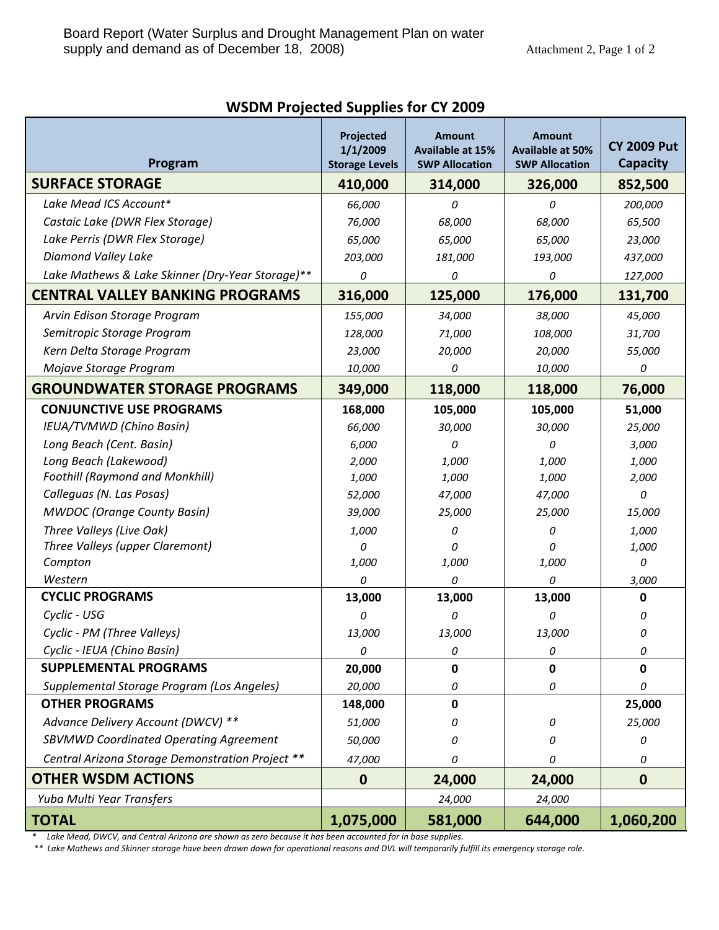| Program                                          | Projected<br>1/1/2009<br><b>Storage Levels</b> | <b>Amount</b><br><b>Available at 15%</b><br><b>SWP Allocation</b> | <b>Amount</b><br><b>Available at 50%</b><br><b>SWP Allocation</b> | <b>CY 2009 Put</b><br><b>Capacity</b> |
|--------------------------------------------------|------------------------------------------------|-------------------------------------------------------------------|-------------------------------------------------------------------|---------------------------------------|
| <b>SURFACE STORAGE</b>                           | 410,000                                        | 314,000                                                           | 326,000                                                           | 852,500                               |
| Lake Mead ICS Account*                           | 66,000                                         | 0                                                                 | 0                                                                 | 200,000                               |
| Castaic Lake (DWR Flex Storage)                  | 76,000                                         | 68,000                                                            | 68,000                                                            | 65,500                                |
| Lake Perris (DWR Flex Storage)                   | 65,000                                         | 65,000                                                            | 65,000                                                            | 23,000                                |
| Diamond Valley Lake                              | 203,000                                        | 181,000                                                           | 193,000                                                           | 437,000                               |
| Lake Mathews & Lake Skinner (Dry-Year Storage)** | 0                                              | 0                                                                 | 0                                                                 | 127,000                               |
| <b>CENTRAL VALLEY BANKING PROGRAMS</b>           | 316,000                                        | 125,000                                                           | 176,000                                                           | 131,700                               |
| Arvin Edison Storage Program                     | 155,000                                        | 34,000                                                            | 38,000                                                            | 45,000                                |
| Semitropic Storage Program                       | 128,000                                        | 71,000                                                            | 108,000                                                           | 31,700                                |
| Kern Delta Storage Program                       | 23,000                                         | 20,000                                                            | 20,000                                                            | 55,000                                |
| Mojave Storage Program                           | 10,000                                         | 0                                                                 | 10,000                                                            | 0                                     |
| <b>GROUNDWATER STORAGE PROGRAMS</b>              | 349,000                                        | 118,000                                                           | 118,000                                                           | 76,000                                |
| <b>CONJUNCTIVE USE PROGRAMS</b>                  | 168,000                                        | 105,000                                                           | 105,000                                                           | 51,000                                |
| IEUA/TVMWD (Chino Basin)                         | 66,000                                         | 30,000                                                            | 30,000                                                            | 25,000                                |
| Long Beach (Cent. Basin)                         | 6,000                                          | 0                                                                 | 0                                                                 | 3,000                                 |
| Long Beach (Lakewood)                            | 2,000                                          | 1,000                                                             | 1,000                                                             | 1,000                                 |
| <b>Foothill (Raymond and Monkhill)</b>           | 1,000                                          | 1,000                                                             | 1,000                                                             | 2,000                                 |
| Calleguas (N. Las Posas)                         | 52,000                                         | 47,000                                                            | 47,000                                                            | 0                                     |
| <b>MWDOC</b> (Orange County Basin)               | 39,000                                         | 25,000                                                            | 25,000                                                            | 15,000                                |
| Three Valleys (Live Oak)                         | 1,000                                          | 0                                                                 | 0                                                                 | 1,000                                 |
| Three Valleys (upper Claremont)                  | 0                                              | 0                                                                 | 0                                                                 | 1,000                                 |
| Compton                                          | 1,000                                          | 1,000                                                             | 1,000                                                             | 0                                     |
| Western                                          | 0                                              | 0                                                                 | 0                                                                 | 3,000                                 |
| <b>CYCLIC PROGRAMS</b>                           | 13,000                                         | 13,000                                                            | 13,000                                                            | 0                                     |
| Cyclic - USG                                     | 0                                              | 0                                                                 | 0                                                                 | 0                                     |
| Cyclic - PM (Three Valleys)                      | 13,000                                         | 13,000                                                            | 13,000                                                            | 0                                     |
| Cyclic - IEUA (Chino Basin)                      | 0                                              | 0                                                                 | 0                                                                 | 0                                     |
| <b>SUPPLEMENTAL PROGRAMS</b>                     | 20,000                                         | 0                                                                 | 0                                                                 | 0                                     |
| Supplemental Storage Program (Los Angeles)       | 20,000                                         | 0                                                                 | 0                                                                 | 0                                     |
| <b>OTHER PROGRAMS</b>                            | 148,000                                        | $\mathbf{0}$                                                      |                                                                   | 25,000                                |
| Advance Delivery Account (DWCV) **               | 51,000                                         | 0                                                                 | 0                                                                 | 25,000                                |
| <b>SBVMWD Coordinated Operating Agreement</b>    | 50,000                                         | 0                                                                 | 0                                                                 | 0                                     |
| Central Arizona Storage Demonstration Project ** | 47,000                                         | 0                                                                 | 0                                                                 | 0                                     |
| <b>OTHER WSDM ACTIONS</b>                        | $\boldsymbol{0}$                               | 24,000                                                            | 24,000                                                            | $\mathbf 0$                           |
| Yuba Multi Year Transfers                        |                                                | 24,000                                                            | 24,000                                                            |                                       |
| <b>TOTAL</b>                                     | 1,075,000                                      | 581,000                                                           | 644,000                                                           | 1,060,200                             |

**WSDM Projected Supplies for CY 2009**

\* Lake Mead, DWCV, and Central Arizona are shown as zero because it has been accounted for in base supplies.

\*\* Lake Mathews and Skinner storage have been drawn down for operational reasons and DVL will temporarily fulfill its emergency storage role.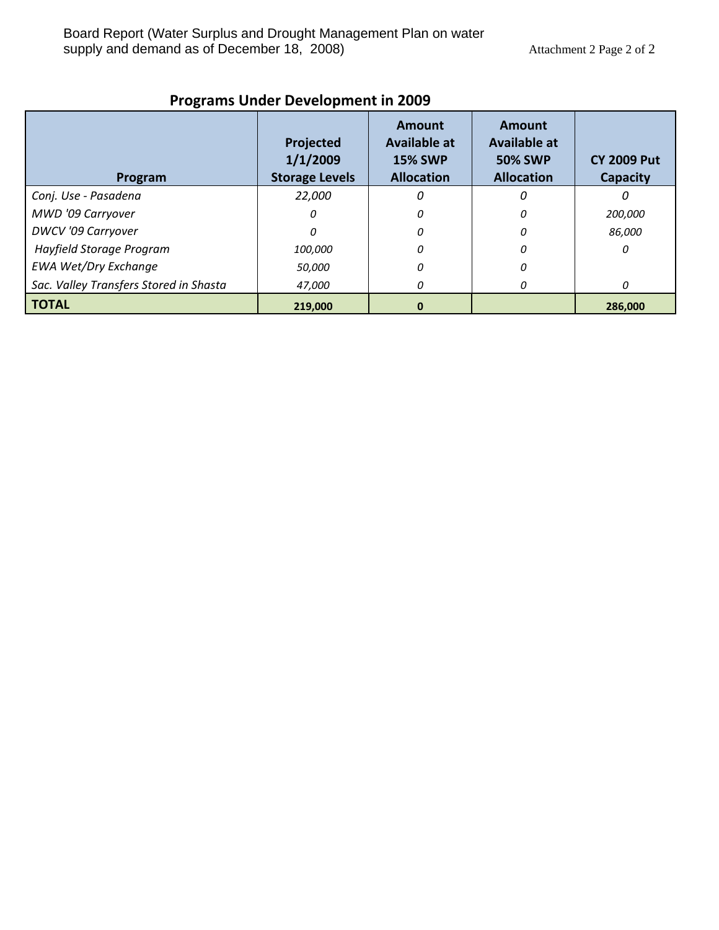| Program                                | Projected<br>1/1/2009<br><b>Storage Levels</b> | Amount<br><b>Available at</b><br><b>15% SWP</b><br><b>Allocation</b> | Amount<br>Available at<br><b>50% SWP</b><br><b>Allocation</b> | <b>CY 2009 Put</b><br><b>Capacity</b> |
|----------------------------------------|------------------------------------------------|----------------------------------------------------------------------|---------------------------------------------------------------|---------------------------------------|
| Conj. Use - Pasadena                   | 22,000                                         |                                                                      | 0                                                             |                                       |
| MWD '09 Carryover                      | n                                              | 0                                                                    | 0                                                             | 200,000                               |
| <b>DWCV</b> '09 Carryover              | 0                                              | 0                                                                    | 0                                                             | 86,000                                |
| Hayfield Storage Program               | 100,000                                        |                                                                      | Ω                                                             | O                                     |
| <b>EWA Wet/Dry Exchange</b>            | 50,000                                         |                                                                      | O                                                             |                                       |
| Sac. Valley Transfers Stored in Shasta | 47,000                                         | 0                                                                    | 0                                                             | 0                                     |
| <b>TOTAL</b>                           | 219,000                                        | 0                                                                    |                                                               | 286,000                               |

# **Programs Under Development in 2009**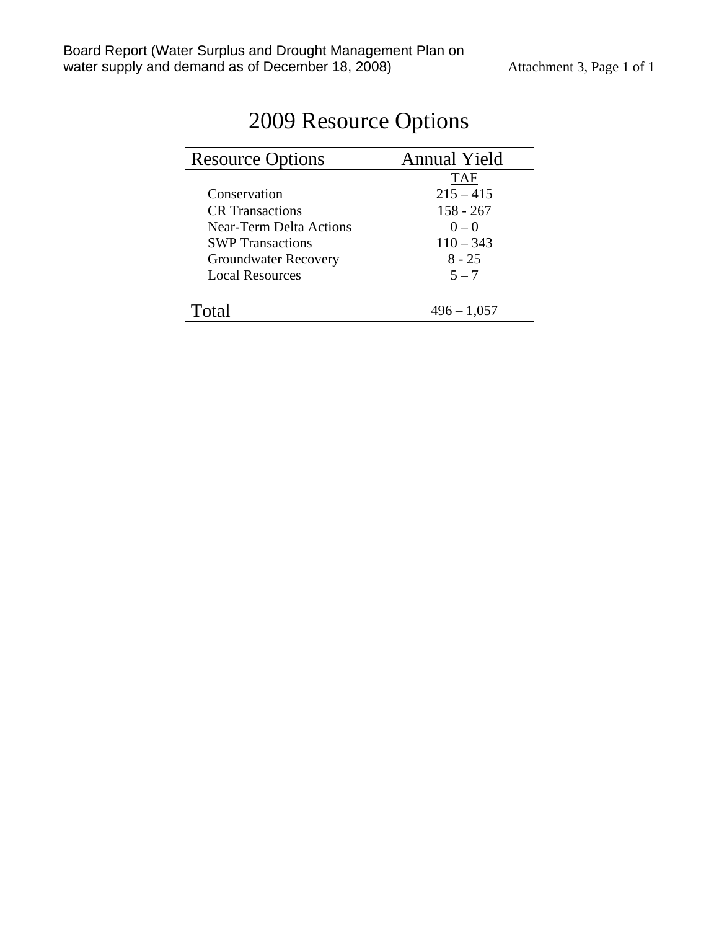| <b>Resource Options</b>     | <b>Annual Yield</b> |
|-----------------------------|---------------------|
|                             | <b>TAF</b>          |
| Conservation                | $215 - 415$         |
| <b>CR</b> Transactions      | $158 - 267$         |
| Near-Term Delta Actions     | $0 - 0$             |
| <b>SWP</b> Transactions     | $110 - 343$         |
| <b>Groundwater Recovery</b> | $8 - 25$            |
| <b>Local Resources</b>      | $5 - 7$             |
|                             |                     |
| Total                       | $496 - 1,057$       |

# 2009 Resource Options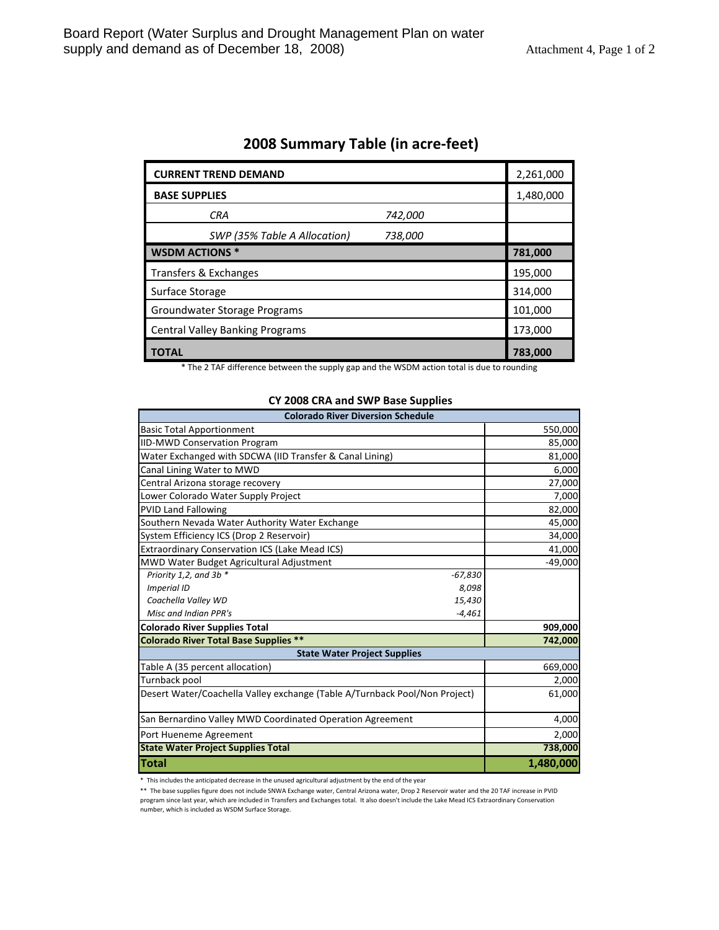| <b>CURRENT TREND DEMAND</b>             | 2,261,000 |
|-----------------------------------------|-----------|
| <b>BASE SUPPLIES</b>                    | 1,480,000 |
| <b>CRA</b><br>742,000                   |           |
| SWP (35% Table A Allocation)<br>738,000 |           |
| <b>WSDM ACTIONS *</b>                   | 781,000   |
| Transfers & Exchanges                   | 195,000   |
| Surface Storage                         | 314,000   |
| Groundwater Storage Programs            | 101,000   |
| <b>Central Valley Banking Programs</b>  | 173,000   |
| ΤΟΤΑL                                   | 783,000   |

## **2008 Summary Table (in acre‐feet)**

\* The 2 TAF difference between the supply gap and the WSDM action total is due to rounding

#### **CY 2008 CRA and SWP Base Supplies**

| <b>Colorado River Diversion Schedule</b>                                   |           |  |
|----------------------------------------------------------------------------|-----------|--|
| <b>Basic Total Apportionment</b>                                           | 550,000   |  |
| <b>IID-MWD Conservation Program</b>                                        | 85,000    |  |
| Water Exchanged with SDCWA (IID Transfer & Canal Lining)                   | 81,000    |  |
| Canal Lining Water to MWD                                                  | 6,000     |  |
| Central Arizona storage recovery                                           | 27,000    |  |
| Lower Colorado Water Supply Project                                        | 7,000     |  |
| <b>PVID Land Fallowing</b>                                                 | 82,000    |  |
| Southern Nevada Water Authority Water Exchange                             | 45,000    |  |
| System Efficiency ICS (Drop 2 Reservoir)                                   | 34,000    |  |
| <b>Extraordinary Conservation ICS (Lake Mead ICS)</b>                      | 41,000    |  |
| MWD Water Budget Agricultural Adjustment                                   | $-49,000$ |  |
| Priority 1,2, and 3b *<br>$-67,830$                                        |           |  |
| <b>Imperial ID</b><br>8,098                                                |           |  |
| 15,430<br>Coachella Valley WD                                              |           |  |
| Misc and Indian PPR's<br>$-4,461$                                          |           |  |
| <b>Colorado River Supplies Total</b>                                       | 909,000   |  |
| <b>Colorado River Total Base Supplies **</b>                               | 742,000   |  |
| <b>State Water Project Supplies</b>                                        |           |  |
| Table A (35 percent allocation)                                            | 669,000   |  |
| Turnback pool                                                              | 2,000     |  |
| Desert Water/Coachella Valley exchange (Table A/Turnback Pool/Non Project) | 61,000    |  |
| San Bernardino Valley MWD Coordinated Operation Agreement                  | 4,000     |  |
| Port Hueneme Agreement                                                     | 2,000     |  |
| <b>State Water Project Supplies Total</b>                                  | 738,000   |  |
| <b>Total</b>                                                               | 1,480,000 |  |

\* This includes the anticipated decrease in the unused agricultural adjustment by the end of the year

\*\* The base supplies figure does not include SNWA Exchange water, Central Arizona water, Drop 2 Reservoir water and the 20 TAF increase in PVID program since last year, which are included in Transfers and Exchanges total. It also doesn't include the Lake Mead ICS Extraordinary Conservation number, which is included as WSDM Surface Storage.